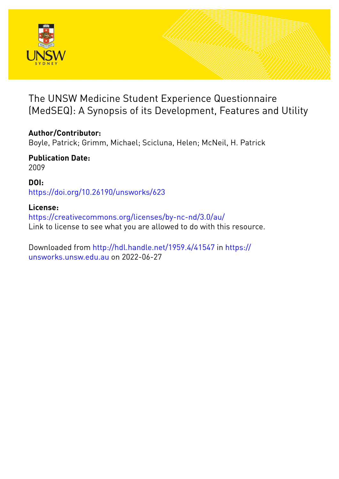

# The UNSW Medicine Student Experience Questionnaire (MedSEQ): A Synopsis of its Development, Features and Utility

# **Author/Contributor:**

Boyle, Patrick; Grimm, Michael; Scicluna, Helen; McNeil, H. Patrick

**Publication Date:** 2009

**DOI:** [https://doi.org/10.26190/unsworks/623](http://dx.doi.org/https://doi.org/10.26190/unsworks/623)

## **License:**

<https://creativecommons.org/licenses/by-nc-nd/3.0/au/> Link to license to see what you are allowed to do with this resource.

Downloaded from <http://hdl.handle.net/1959.4/41547> in [https://](https://unsworks.unsw.edu.au) [unsworks.unsw.edu.au](https://unsworks.unsw.edu.au) on 2022-06-27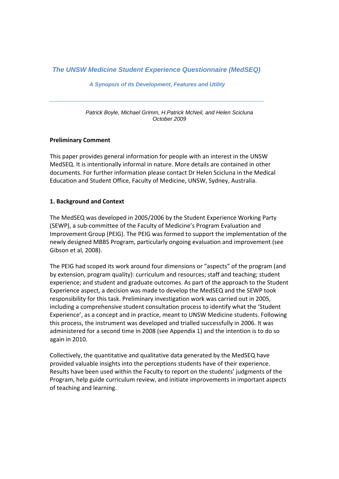*The UNSW Medicine Student Experience Questionnaire (MedSEQ)* 

 *A Synopsis of its Development, Features and Utility* 

*Patrick Boyle, Michael Grimm, H.Patrick McNeil, and Helen Scicluna October 2009* 

### **Preliminary Comment**

This paper provides general information for people with an interest in the UNSW MedSEQ. It is intentionally informal in nature. More details are contained in other documents. For further information please contact Dr Helen Scicluna in the Medical Education and Student Office, Faculty of Medicine, UNSW, Sydney, Australia.

### **1. Background and Context**

The MedSEQ was developed in 2005/2006 by the Student Experience Working Party (SEWP), a sub‐committee of the Faculty of Medicine's Program Evaluation and Improvement Group (PEIG). The PEIG was formed to support the implementation of the newly designed MBBS Program, particularly ongoing evaluation and improvement (see Gibson et al, 2008).

The PEIG had scoped its work around four dimensions or "aspects" of the program (and by extension, program quality): curriculum and resources; staff and teaching; student experience; and student and graduate outcomes. As part of the approach to the Student Experience aspect, a decision was made to develop the MedSEQ and the SEWP took responsibility for this task. Preliminary investigation work was carried out in 2005, including a comprehensive student consultation process to identify what the 'Student Experience', as a concept and in practice, meant to UNSW Medicine students. Following this process, the instrument was developed and trialled successfully in 2006. It was administered for a second time in 2008 (see Appendix 1) and the intention is to do so again in 2010.

Collectively, the quantitative and qualitative data generated by the MedSEQ have provided valuable insights into the perceptions students have of their experience. Results have been used within the Faculty to report on the students' judgments of the Program, help guide curriculum review, and initiate improvements in important aspects of teaching and learning.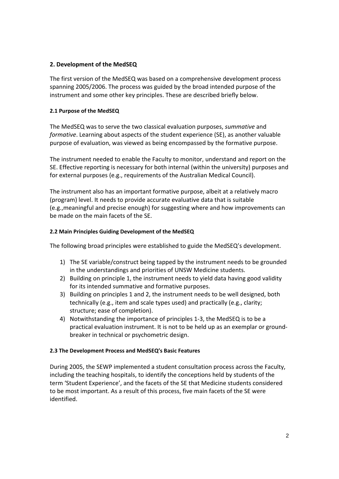## **2. Development of the MedSEQ**

The first version of the MedSEQ was based on a comprehensive development process spanning 2005/2006. The process was guided by the broad intended purpose of the instrument and some other key principles. These are described briefly below.

### **2.1 Purpose of the MedSEQ**

The MedSEQ was to serve the two classical evaluation purposes, *summative* and *formative*. Learning about aspects of the student experience (SE), as another valuable purpose of evaluation, was viewed as being encompassed by the formative purpose.

The instrument needed to enable the Faculty to monitor, understand and report on the SE. Effective reporting is necessary for both internal (within the university) purposes and for external purposes (e.g., requirements of the Australian Medical Council).

The instrument also has an important formative purpose, albeit at a relatively macro (program) level. It needs to provide accurate evaluative data that is suitable (e.g.,meaningful and precise enough) for suggesting where and how improvements can be made on the main facets of the SE.

## **2.2 Main Principles Guiding Development of the MedSEQ**

The following broad principles were established to guide the MedSEQ's development.

- 1) The SE variable/construct being tapped by the instrument needs to be grounded in the understandings and priorities of UNSW Medicine students.
- 2) Building on principle 1, the instrument needs to yield data having good validity for its intended summative and formative purposes.
- 3) Building on principles 1 and 2, the instrument needs to be well designed, both technically (e.g., item and scale types used) and practically (e.g., clarity; structure; ease of completion).
- 4) Notwithstanding the importance of principles 1‐3, the MedSEQ is to be a practical evaluation instrument. It is not to be held up as an exemplar or ground‐ breaker in technical or psychometric design.

### **2.3 The Development Process and MedSEQ's Basic Features**

During 2005, the SEWP implemented a student consultation process across the Faculty, including the teaching hospitals, to identify the conceptions held by students of the term 'Student Experience', and the facets of the SE that Medicine students considered to be most important. As a result of this process, five main facets of the SE were identified.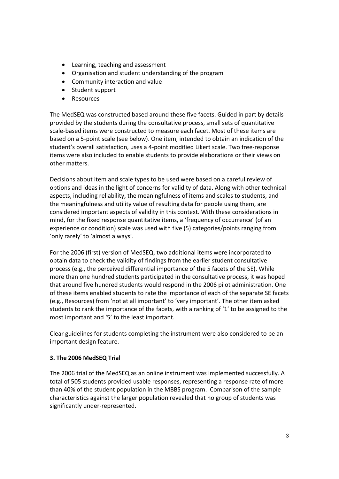- Learning, teaching and assessment
- Organisation and student understanding of the program
- Community interaction and value
- Student support
- Resources

The MedSEQ was constructed based around these five facets. Guided in part by details provided by the students during the consultative process, small sets of quantitative scale‐based items were constructed to measure each facet. Most of these items are based on a 5‐point scale (see below). One item, intended to obtain an indication of the student's overall satisfaction, uses a 4‐point modified Likert scale. Two free‐response items were also included to enable students to provide elaborations or their views on other matters.

Decisions about item and scale types to be used were based on a careful review of options and ideas in the light of concerns for validity of data. Along with other technical aspects, including reliability, the meaningfulness of items and scales to students, and the meaningfulness and utility value of resulting data for people using them, are considered important aspects of validity in this context. With these considerations in mind, for the fixed response quantitative items, a 'frequency of occurrence' (of an experience or condition) scale was used with five (5) categories/points ranging from 'only rarely' to 'almost always'.

For the 2006 (first) version of MedSEQ, two additional items were incorporated to obtain data to check the validity of findings from the earlier student consultative process (e.g., the perceived differential importance of the 5 facets of the SE). While more than one hundred students participated in the consultative process, it was hoped that around five hundred students would respond in the 2006 pilot administration. One of these items enabled students to rate the importance of each of the separate SE facets (e.g., Resources) from 'not at all important' to 'very important'. The other item asked students to rank the importance of the facets, with a ranking of '1' to be assigned to the most important and '5' to the least important.

Clear guidelines for students completing the instrument were also considered to be an important design feature.

### **3. The 2006 MedSEQ Trial**

The 2006 trial of the MedSEQ as an online instrument was implemented successfully. A total of 505 students provided usable responses, representing a response rate of more than 40% of the student population in the MBBS program. Comparison of the sample characteristics against the larger population revealed that no group of students was significantly under‐represented.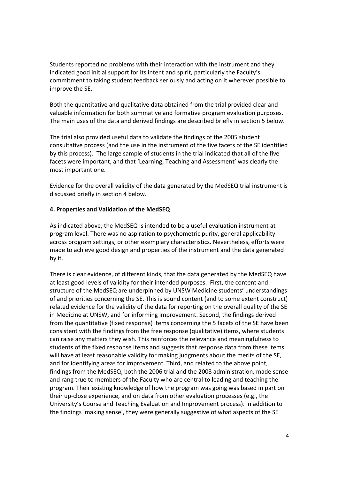Students reported no problems with their interaction with the instrument and they indicated good initial support for its intent and spirit, particularly the Faculty's commitment to taking student feedback seriously and acting on it wherever possible to improve the SE.

Both the quantitative and qualitative data obtained from the trial provided clear and valuable information for both summative and formative program evaluation purposes. The main uses of the data and derived findings are described briefly in section 5 below.

The trial also provided useful data to validate the findings of the 2005 student consultative process (and the use in the instrument of the five facets of the SE identified by this process). The large sample of students in the trial indicated that all of the five facets were important, and that 'Learning, Teaching and Assessment' was clearly the most important one.

Evidence for the overall validity of the data generated by the MedSEQ trial instrument is discussed briefly in section 4 below.

### **4. Properties and Validation of the MedSEQ**

As indicated above, the MedSEQ is intended to be a useful evaluation instrument at program level. There was no aspiration to psychometric purity, general applicability across program settings, or other exemplary characteristics. Nevertheless, efforts were made to achieve good design and properties of the instrument and the data generated by it.

There is clear evidence, of different kinds, that the data generated by the MedSEQ have at least good levels of validity for their intended purposes. First, the content and structure of the MedSEQ are underpinned by UNSW Medicine students' understandings of and priorities concerning the SE. This is sound content (and to some extent construct) related evidence for the validity of the data for reporting on the overall quality of the SE in Medicine at UNSW, and for informing improvement. Second, the findings derived from the quantitative (fixed response) items concerning the 5 facets of the SE have been consistent with the findings from the free response (qualitative) items, where students can raise any matters they wish. This reinforces the relevance and meaningfulness to students of the fixed response items and suggests that response data from these items will have at least reasonable validity for making judgments about the merits of the SE, and for identifying areas for improvement. Third, and related to the above point, findings from the MedSEQ, both the 2006 trial and the 2008 administration, made sense and rang true to members of the Faculty who are central to leading and teaching the program. Their existing knowledge of how the program was going was based in part on their up‐close experience, and on data from other evaluation processes (e.g., the University's Course and Teaching Evaluation and Improvement process). In addition to the findings 'making sense', they were generally suggestive of what aspects of the SE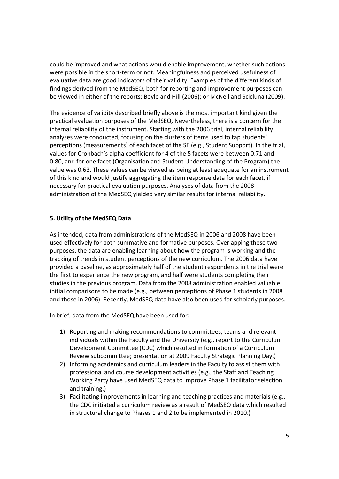could be improved and what actions would enable improvement, whether such actions were possible in the short-term or not. Meaningfulness and perceived usefulness of evaluative data are good indicators of their validity. Examples of the different kinds of findings derived from the MedSEQ, both for reporting and improvement purposes can be viewed in either of the reports: Boyle and Hill (2006); or McNeil and Scicluna (2009).

The evidence of validity described briefly above is the most important kind given the practical evaluation purposes of the MedSEQ. Nevertheless, there is a concern for the internal reliability of the instrument. Starting with the 2006 trial, internal reliability analyses were conducted, focusing on the clusters of items used to tap students' perceptions (measurements) of each facet of the SE (e.g., Student Support). In the trial, values for Cronbach's alpha coefficient for 4 of the 5 facets were between 0.71 and 0.80, and for one facet (Organisation and Student Understanding of the Program) the value was 0.63. These values can be viewed as being at least adequate for an instrument of this kind and would justify aggregating the item response data for each facet, if necessary for practical evaluation purposes. Analyses of data from the 2008 administration of the MedSEQ yielded very similar results for internal reliability.

### **5. Utility of the MedSEQ Data**

As intended, data from administrations of the MedSEQ in 2006 and 2008 have been used effectively for both summative and formative purposes. Overlapping these two purposes, the data are enabling learning about how the program is working and the tracking of trends in student perceptions of the new curriculum. The 2006 data have provided a baseline, as approximately half of the student respondents in the trial were the first to experience the new program, and half were students completing their studies in the previous program. Data from the 2008 administration enabled valuable initial comparisons to be made (e.g., between perceptions of Phase 1 students in 2008 and those in 2006). Recently, MedSEQ data have also been used for scholarly purposes.

In brief, data from the MedSEQ have been used for:

- 1) Reporting and making recommendations to committees, teams and relevant individuals within the Faculty and the University (e.g., report to the Curriculum Development Committee (CDC) which resulted in formation of a Curriculum Review subcommittee; presentation at 2009 Faculty Strategic Planning Day.)
- 2) Informing academics and curriculum leaders in the Faculty to assist them with professional and course development activities (e.g., the Staff and Teaching Working Party have used MedSEQ data to improve Phase 1 facilitator selection and training.)
- 3) Facilitating improvements in learning and teaching practices and materials (e.g., the CDC initiated a curriculum review as a result of MedSEQ data which resulted in structural change to Phases 1 and 2 to be implemented in 2010.)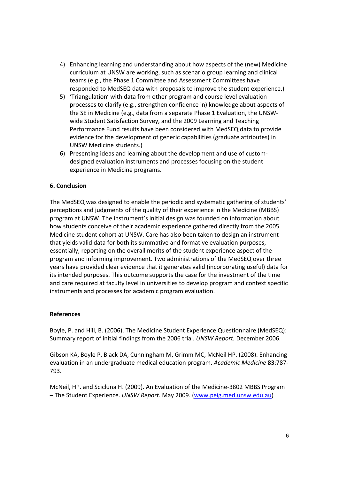- 4) Enhancing learning and understanding about how aspects of the (new) Medicine curriculum at UNSW are working, such as scenario group learning and clinical teams (e.g., the Phase 1 Committee and Assessment Committees have responded to MedSEQ data with proposals to improve the student experience.)
- 5) 'Triangulation' with data from other program and course level evaluation processes to clarify (e.g., strengthen confidence in) knowledge about aspects of the SE in Medicine (e.g., data from a separate Phase 1 Evaluation, the UNSW‐ wide Student Satisfaction Survey, and the 2009 Learning and Teaching Performance Fund results have been considered with MedSEQ data to provide evidence for the development of generic capabilities (graduate attributes) in UNSW Medicine students.)
- 6) Presenting ideas and learning about the development and use of custom‐ designed evaluation instruments and processes focusing on the student experience in Medicine programs.

## **6. Conclusion**

The MedSEQ was designed to enable the periodic and systematic gathering of students' perceptions and judgments of the quality of their experience in the Medicine (MBBS) program at UNSW. The instrument's initial design was founded on information about how students conceive of their academic experience gathered directly from the 2005 Medicine student cohort at UNSW. Care has also been taken to design an instrument that yields valid data for both its summative and formative evaluation purposes, essentially, reporting on the overall merits of the student experience aspect of the program and informing improvement. Two administrations of the MedSEQ over three years have provided clear evidence that it generates valid (incorporating useful) data for its intended purposes. This outcome supports the case for the investment of the time and care required at faculty level in universities to develop program and context specific instruments and processes for academic program evaluation.

### **References**

Boyle, P. and Hill, B. (2006). The Medicine Student Experience Questionnaire (MedSEQ): Summary report of initial findings from the 2006 trial. *UNSW Report.* December 2006.

Gibson KA, Boyle P, Black DA, Cunningham M, Grimm MC, McNeil HP. (2008). Enhancing evaluation in an undergraduate medical education program. *Academic Medicine* **83**:787‐ 793.

McNeil, HP. and Scicluna H. (2009). An Evaluation of the Medicine‐3802 MBBS Program – The Student Experience. *UNSW Report*. May 2009. (www.peig.med.unsw.edu.au)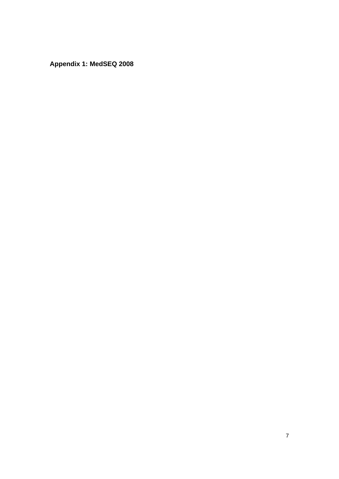**Appendix 1: MedSEQ 2008**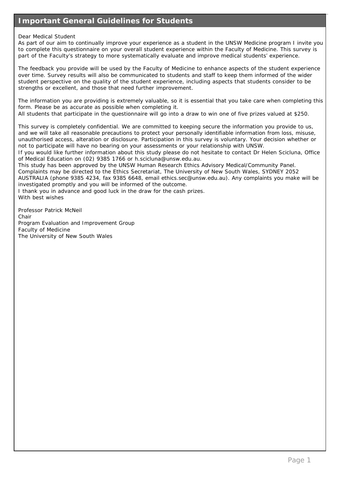## **Important General Guidelines for Students**

#### Dear Medical Student

As part of our aim to continually improve your experience as a student in the UNSW Medicine program I invite you to complete this questionnaire on your overall student experience within the Faculty of Medicine. This survey is part of the Faculty's strategy to more systematically evaluate and improve medical students' experience.

The feedback you provide will be used by the Faculty of Medicine to enhance aspects of the student experience over time. Survey results will also be communicated to students and staff to keep them informed of the wider student perspective on the quality of the student experience, including aspects that students consider to be strengths or excellent, and those that need further improvement.

The information you are providing is extremely valuable, so it is essential that you take care when completing this form. Please be as accurate as possible when completing it.

All students that participate in the questionnaire will go into a draw to win one of five prizes valued at \$250.

This survey is completely confidential. We are committed to keeping secure the information you provide to us, and we will take all reasonable precautions to protect your personally identifiable information from loss, misuse, unauthorised access, alteration or disclosure. Participation in this survey is voluntary. Your decision whether or not to participate will have no bearing on your assessments or your relationship with UNSW.

If you would like further information about this study please do not hesitate to contact Dr Helen Scicluna, Office of Medical Education on (02) 9385 1766 or h.scicluna@unsw.edu.au.

This study has been approved by the UNSW Human Research Ethics Advisory Medical/Community Panel.

Complaints may be directed to the Ethics Secretariat, The University of New South Wales, SYDNEY 2052

AUSTRALIA (phone 9385 4234, fax 9385 6648, email ethics.sec@unsw.edu.au). Any complaints you make will be investigated promptly and you will be informed of the outcome.

I thank you in advance and good luck in the draw for the cash prizes. With best wishes

Professor Patrick McNeil Chair Program Evaluation and Improvement Group Faculty of Medicine The University of New South Wales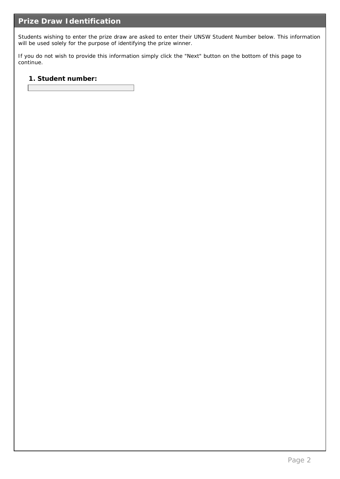Students wishing to enter the prize draw are asked to enter their UNSW Student Number below. This information will be used solely for the purpose of identifying the prize winner.

If you do not wish to provide this information simply click the "Next" button on the bottom of this page to continue.

**1. Student number:**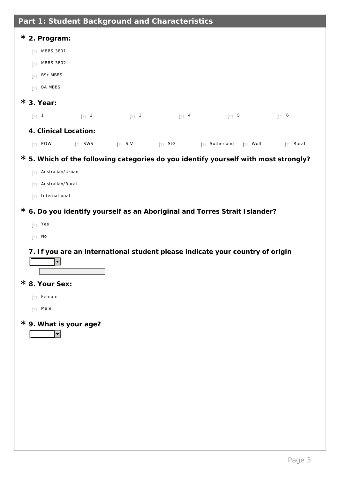| Part 1: Student Background and Characteristics                               |                |               |                |                                                                               |                                                                                     |
|------------------------------------------------------------------------------|----------------|---------------|----------------|-------------------------------------------------------------------------------|-------------------------------------------------------------------------------------|
| * 2. Program:<br>MBBS 3801<br>MBBS 3802<br><b>BSc MBBS</b><br><b>BA MBBS</b> |                |               |                |                                                                               |                                                                                     |
| $*$ 3. Year:                                                                 |                |               |                |                                                                               |                                                                                     |
| ( ) 1                                                                        | $\binom{1}{2}$ | $\big)$ 3     | $\overline{4}$ | $\begin{array}{c} \begin{array}{c} \end{array} \end{array}$                   | 6                                                                                   |
| 4. Clinical Location:<br>$( )$ POW                                           | $()$ sws       | StV<br>$\Box$ | $( )$ StG      | Sutherland<br>$($ )<br>$($ )                                                  | Rural<br>Woll                                                                       |
| Australian/Urban<br>Australian/Rural<br>International                        |                |               |                |                                                                               | * 5. Which of the following categories do you identify yourself with most strongly? |
| Yes<br>No                                                                    |                |               |                | * 6. Do you identify yourself as an Aboriginal and Torres Strait I slander?   |                                                                                     |
| $\blacksquare$                                                               |                |               |                | 7. If you are an international student please indicate your country of origin |                                                                                     |
| * 8. Your Sex:<br>Female<br>Male                                             |                |               |                |                                                                               |                                                                                     |
| * 9. What is your age?                                                       |                |               |                |                                                                               |                                                                                     |
|                                                                              |                |               |                |                                                                               |                                                                                     |
|                                                                              |                |               |                |                                                                               |                                                                                     |
|                                                                              |                |               |                |                                                                               |                                                                                     |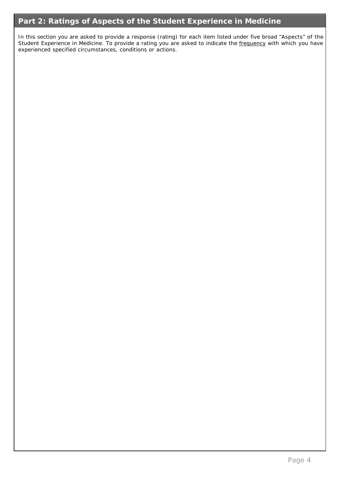## **Part 2: Ratings of Aspects of the Student Experience in Medicine**

In this section you are asked to provide a response (rating) for each item listed under five broad "Aspects" of the Student Experience in Medicine. To provide a rating you are asked to indicate the frequency with which you have experienced specified circumstances, conditions or actions.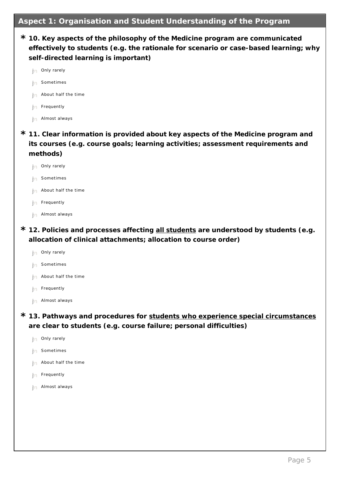## **Aspect 1: Organisation and Student Understanding of the Program**

- **10. Key aspects of the philosophy of the Medicine program are communicated \* effectively to students (e.g. the rationale for scenario or case-based learning; why self-directed learning is important)**
	- $\bigcap$  Only rarely Sometimes
		- About half the time
		- Frequently
		- Almost always
- **11. Clear information is provided about key aspects of the Medicine program and \* its courses (e.g. course goals; learning activities; assessment requirements and methods)**
	- $\bigcap$  Only rarely
	- Sometimes
	- About half the time
	- Frequently
	- Almost always
- **12. Policies and processes affecting all students are understood by students (e.g. \* allocation of clinical attachments; allocation to course order)**
	- Only rarely
	- Sometimes
	- About half the time
	- Frequently
	- Almost always
- **13. Pathways and procedures for students who experience special circumstances \* are clear to students (e.g. course failure; personal difficulties)**
	- Only rarely
	- Sometimes
	- About half the time
	- Frequently
	- Almost always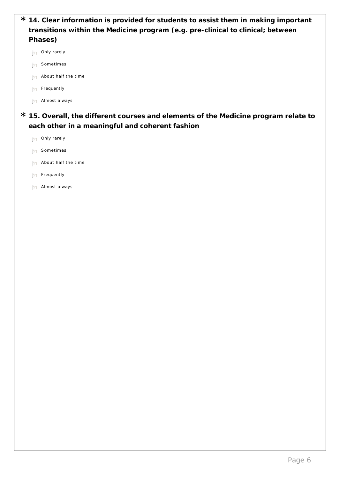| * 14. Clear information is provided for students to assist them in making important |
|-------------------------------------------------------------------------------------|
| transitions within the Medicine program (e.g. pre-clinical to clinical; between     |
| Phases)                                                                             |
|                                                                                     |

- $\bigcap$  Only rarely
- $\bigcap$  Sometimes
- $\bigcap$  About half the time
- $\bigcap$  Frequently
- $\bigcap$  Almost always
- **15. Overall, the different courses and elements of the Medicine program relate to \* each other in a meaningful and coherent fashion**
	- $\bigcap$  Only rarely  $\bigcap$  Sometimes  $\bigcap$  About half the time  $\bigcap$  Frequently
	- $\bigcap$  Almost always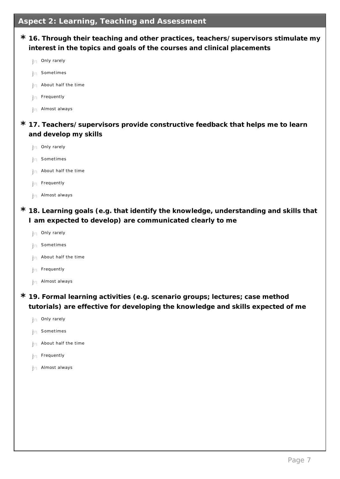- **16. Through their teaching and other practices, teachers/supervisors stimulate my \* interest in the topics and goals of the courses and clinical placements 17. Teachers/supervisors provide constructive feedback that helps me to learn \* and develop my skills 18. Learning goals (e.g. that identify the knowledge, understanding and skills that \* I am expected to develop) are communicated clearly to me 19. Formal learning activities (e.g. scenario groups; lectures; case method \* tutorials) are effective for developing the knowledge and skills expected of me**  $\bigcap$  Only rarely Sometimes About half the time Frequently Almost always  $\bigcap$  Only rarely Sometimes About half the time Frequently Almost always  $\big(\big)$  Only rarely Sometimes  $\big($  ) About half the time Frequently Almost always Only rarely
	- Sometimes
	- About half the time
	- Frequently
	- Almost always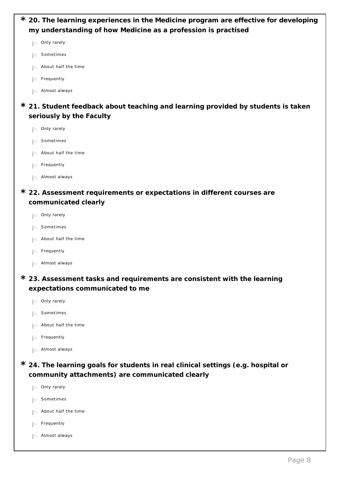| * 20. The learning experiences in the Medicine program are effective for developing |
|-------------------------------------------------------------------------------------|
| my understanding of how Medicine as a profession is practised                       |
| Only rarely                                                                         |
| Sometimes                                                                           |
| About half the time                                                                 |
| Frequently                                                                          |
| Almost always                                                                       |
| * 21. Student feedback about teaching and learning provided by students is taken    |
| seriously by the Faculty                                                            |
| Only rarely                                                                         |
| Sometimes                                                                           |
| About half the time                                                                 |
| Frequently                                                                          |
| Almost always                                                                       |
| * 22. Assessment requirements or expectations in different courses are              |
| communicated clearly                                                                |
| Only rarely                                                                         |
| Sometimes                                                                           |
| About half the time                                                                 |
| Frequently                                                                          |
| Almost always                                                                       |
| * 23. Assessment tasks and requirements are consistent with the learning            |
| expectations communicated to me                                                     |

- $\bigcap$  Only rarely  $\bigcap$  Sometimes
- $\bigcap$  About half the time
- $\bigcap$  Frequently
- $\bigcap$  Almost always
- **24. The learning goals for students in real clinical settings (e.g. hospital or \* community attachments) are communicated clearly**
	- $\bigcap$  Only rarely  $\bigcap$  Sometimes  $\bigcap$  About half the time Frequently Almost always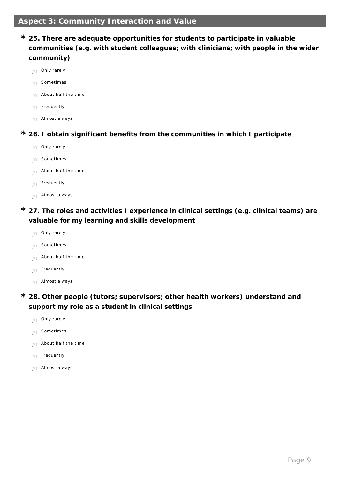## **Aspect 3: Community Interaction and Value**

| * 25. There are adequate opportunities for students to participate in valuable<br>communities (e.g. with student colleagues; with clinicians; with people in the wider<br>community) |
|--------------------------------------------------------------------------------------------------------------------------------------------------------------------------------------|
| Only rarely                                                                                                                                                                          |
| Sometimes                                                                                                                                                                            |
| About half the time                                                                                                                                                                  |
| Frequently                                                                                                                                                                           |
| Almost always                                                                                                                                                                        |
| * 26. I obtain significant benefits from the communities in which I participate                                                                                                      |
| Only rarely                                                                                                                                                                          |
| Sometimes                                                                                                                                                                            |
| About half the time                                                                                                                                                                  |
| Frequently                                                                                                                                                                           |
| Almost always                                                                                                                                                                        |
| * 27. The roles and activities I experience in clinical settings (e.g. clinical teams) are<br>valuable for my learning and skills development                                        |

- $\bigcap$  Only rarely
- $\bigcap$  Sometimes
- $\bigcap$  About half the time
- $\bigcap$  Frequently
- $\bigcap$  Almost always
- **28. Other people (tutors; supervisors; other health workers) understand and \* support my role as a student in clinical settings**
	- $\bigcap$  Only rarely
	- $\bigcap$  Sometimes
	- $\bigcap$  About half the time
	- $\bigcap$  Frequently
	- $\bigcap$  Almost always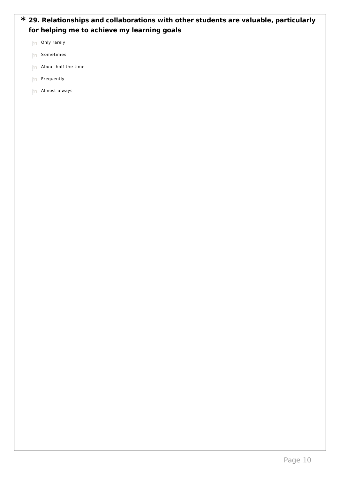|  | * 29. Relationships and collaborations with other students are valuable, particularly |  |  |  |
|--|---------------------------------------------------------------------------------------|--|--|--|
|  | for helping me to achieve my learning goals                                           |  |  |  |

|  | Only rarely |
|--|-------------|
|  |             |

 $\bigcap$  Sometimes

 $\bigcap$  About half the time

 $\bigcap$  Frequently

 $\bigcap$  Almost always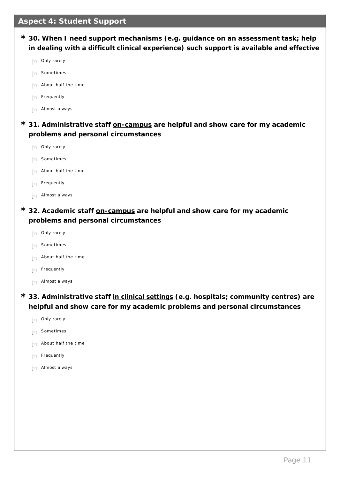## **Aspect 4: Student Support**

| * 30. When I need support mechanisms (e.g. guidance on an assessment task; help<br>in dealing with a difficult clinical experience) such support is available and effective |
|-----------------------------------------------------------------------------------------------------------------------------------------------------------------------------|
| Only rarely                                                                                                                                                                 |
| Sometimes                                                                                                                                                                   |
| About half the time                                                                                                                                                         |
| Frequently                                                                                                                                                                  |
| Almost always                                                                                                                                                               |
| * 31. Administrative staff on-campus are helpful and show care for my academic                                                                                              |
| problems and personal circumstances                                                                                                                                         |
| Only rarely                                                                                                                                                                 |
| Sometimes                                                                                                                                                                   |
| About half the time                                                                                                                                                         |
| Frequently                                                                                                                                                                  |
| Almost always                                                                                                                                                               |
| * 32. Academic staff on-campus are helpful and show care for my academic                                                                                                    |
| problems and personal circumstances                                                                                                                                         |
| Only rarely                                                                                                                                                                 |
| Sometimes                                                                                                                                                                   |

- $\bigcap$  About half the time
- $\bigcap$  Frequently
- $\bigcap$  Almost always
- **33. Administrative staff in clinical settings (e.g. hospitals; community centres) are \* helpful and show care for my academic problems and personal circumstances**
	- $\bigcap$  Only rarely
	- $\bigcap$  Sometimes
	- $\bigcap$  About half the time
	- $\bigcap$  Frequently
	- $\bigcap$  Almost always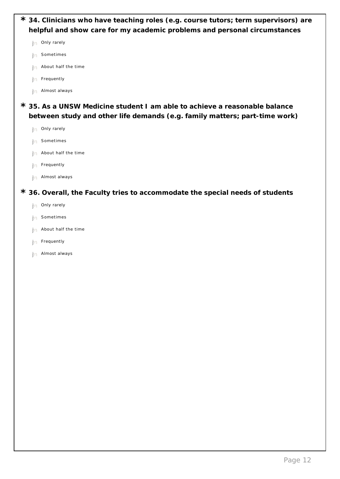| * 34. Clinicians who have teaching roles (e.g. course tutors; term supervisors) are |
|-------------------------------------------------------------------------------------|
| helpful and show care for my academic problems and personal circumstances           |
| Only rarely                                                                         |
| Sometimes                                                                           |
| About half the time                                                                 |
| Frequently                                                                          |
| Almost always                                                                       |
| * 35. As a UNSW Medicine student I am able to achieve a reasonable balance          |
| between study and other life demands (e.g. family matters; part-time work)          |
| Only rarely                                                                         |
| Sometimes                                                                           |
| About half the time                                                                 |
| Frequently                                                                          |
| Almost always                                                                       |
| * 36. Overall, the Faculty tries to accommodate the special needs of students       |
| Only rarely                                                                         |
| Sometimes                                                                           |
| About half the time                                                                 |
| Frequently                                                                          |
| Almost always                                                                       |
|                                                                                     |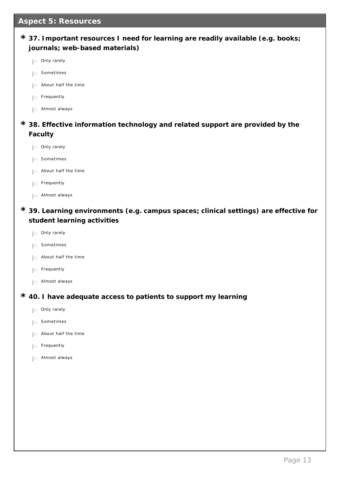## **Aspect 5: Resources**

| * 37. Important resources I need for learning are readily available (e.g. books; |  |
|----------------------------------------------------------------------------------|--|
| journals; web-based materials)                                                   |  |

- $\bigcap$  Only rarely
- Sometimes
- About half the time
- Frequently
- Almost always
- **38. Effective information technology and related support are provided by the \* Faculty**
	- $\bigcap$  Only rarely
	- Sometimes
	- About half the time
	- $\big($  ) Frequently
	- $\bigcap$  Almost always
- **39. Learning environments (e.g. campus spaces; clinical settings) are effective for \* student learning activities**
	- $\bigcap$  Only rarely
	- Sometimes
	- $\bigcap$  About half the time
	- Frequently
	- $\bigcap$  Almost always
- **40. I have adequate access to patients to support my learning \***
	- $\bigcap$  Only rarely
	- Sometimes
	- About half the time
	- Frequently
	- Almost always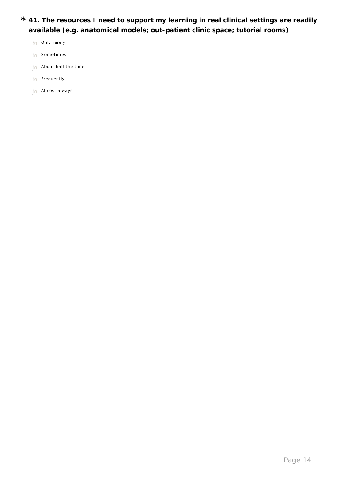|  | * 41. The resources I need to support my learning in real clinical settings are readily |
|--|-----------------------------------------------------------------------------------------|
|  | available (e.g. anatomical models; out-patient clinic space; tutorial rooms)            |

| Only rarely |
|-------------|
|-------------|

- $\bigcap$  Sometimes
- $\bigcap$  About half the time
- $\bigcap$  Frequently
- $\bigcap$  Almost always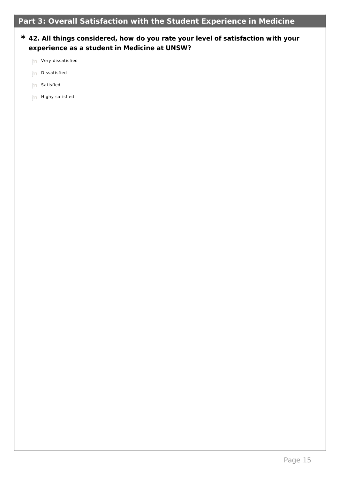## **42. All things considered, how do you rate your level of satisfaction with your \* experience as a student in Medicine at UNSW?**

- $\bigcap$  Very dissatisfied
- $\bigcap$  Dissatisfied
- $\bigcap$  Satisfied
- $\bigcap$  Highy satisfied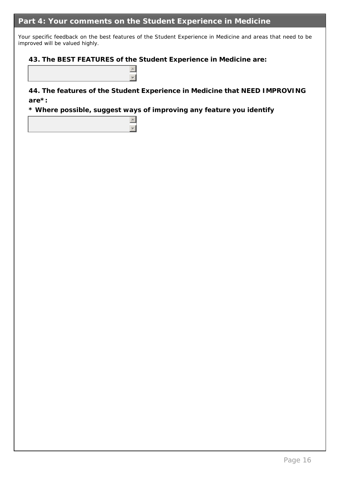## **Part 4: Your comments on the Student Experience in Medicine**

Your specific feedback on the best features of the Student Experience in Medicine and areas that need to be improved will be valued highly.

**43. The BEST FEATURES of the Student Experience in Medicine are:**

**44. The features of the Student Experience in Medicine that NEED IMPROVING are\*:**

**\* Where possible, suggest ways of improving any feature you identify**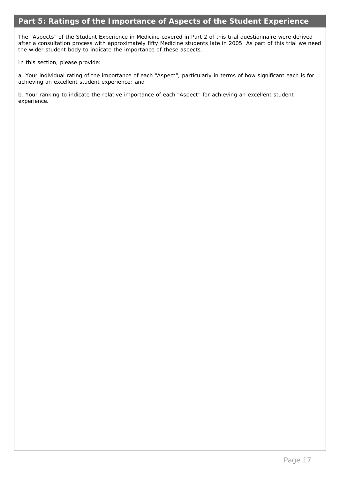## **Part 5: Ratings of the Importance of Aspects of the Student Experience**

The "Aspects" of the Student Experience in Medicine covered in Part 2 of this trial questionnaire were derived after a consultation process with approximately fifty Medicine students late in 2005. As part of this trial we need the wider student body to indicate the importance of these aspects.

In this section, please provide:

a. Your individual rating of the importance of each "Aspect", particularly in terms of how significant each is for achieving an excellent student experience; and

b. Your ranking to indicate the relative importance of each "Aspect" for achieving an excellent student experience.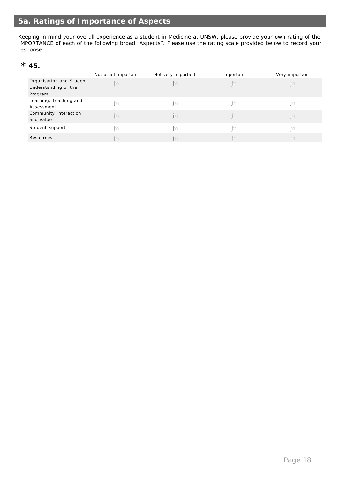Keeping in mind your overall experience as a student in Medicine at UNSW, please provide your own rating of the IMPORTANCE of each of the following broad "Aspects". Please use the rating scale provided below to record your response:

# $*$  45.

|                          | Not at all important | Not very important | Important | Very important |
|--------------------------|----------------------|--------------------|-----------|----------------|
| Organisation and Student |                      |                    |           |                |
| Understanding of the     |                      |                    |           |                |
| Program                  |                      |                    |           |                |
| Learning, Teaching and   |                      |                    |           |                |
| Assessment               |                      |                    |           |                |
| Community Interaction    |                      |                    |           |                |
| and Value                |                      |                    |           |                |
| Student Support          |                      |                    |           |                |
| Resources                |                      |                    |           |                |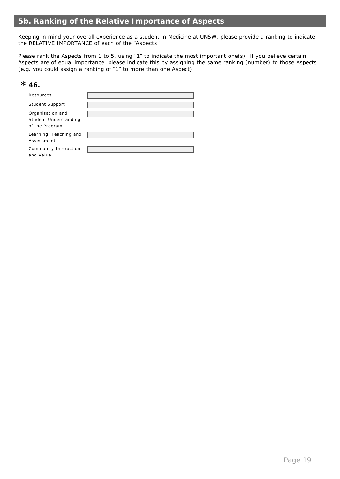## **5b. Ranking of the Relative Importance of Aspects**

Keeping in mind your overall experience as a student in Medicine at UNSW, please provide a ranking to indicate the RELATIVE IMPORTANCE of each of the "Aspects"

Please rank the Aspects from 1 to 5, using "1" to indicate the most important one(s). If you believe certain Aspects are of equal importance, please indicate this by assigning the same ranking (number) to those Aspects (e.g. you could assign a ranking of "1" to more than one Aspect).

# $*$  46.

| Resources                                                   |  |
|-------------------------------------------------------------|--|
| Student Support                                             |  |
| Organisation and<br>Student Understanding<br>of the Program |  |
| Learning, Teaching and<br>Assessment                        |  |
| Community Interaction<br>and Value                          |  |